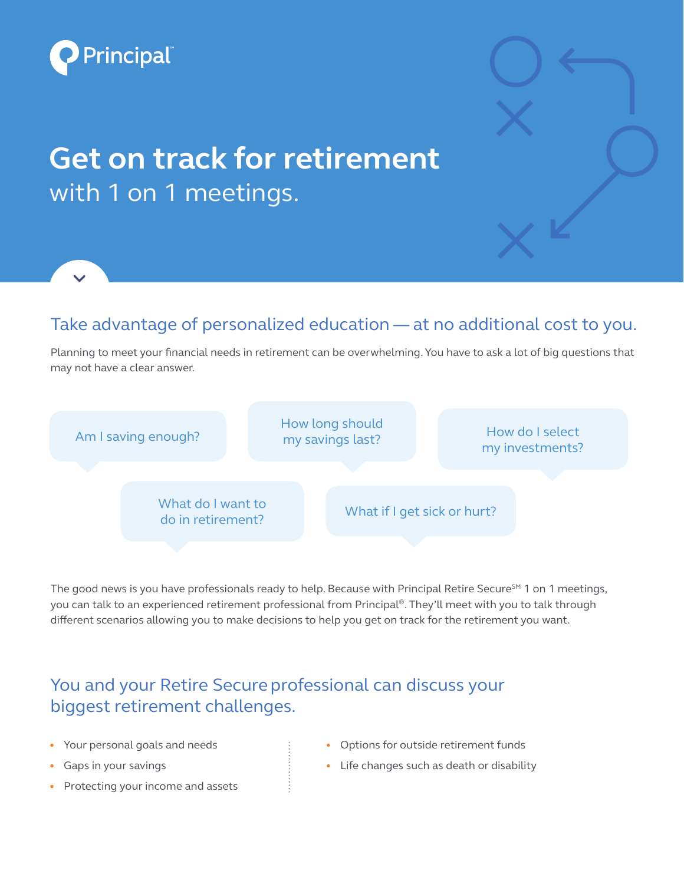

## **Get on track for retirement**  with 1 on 1 meetings.

## Take advantage of personalized education — at no additional cost to you.

Planning to meet your financial needs in retirement can be overwhelming. You have to ask a lot of big questions that may not have a clear answer.



The good news is you have professionals ready to help. Because with Principal Retire Secure<sup>SM</sup> 1 on 1 meetings, you can talk to an experienced retirement professional from Principal®. They'll meet with you to talk through different scenarios allowing you to make decisions to help you get on track for the retirement you want.

## You and your Retire Secure professional can discuss your biggest retirement challenges.

- Your personal goals and needs
- Gaps in your savings
- Protecting your income and assets
- Options for outside retirement funds
- Life changes such as death or disability